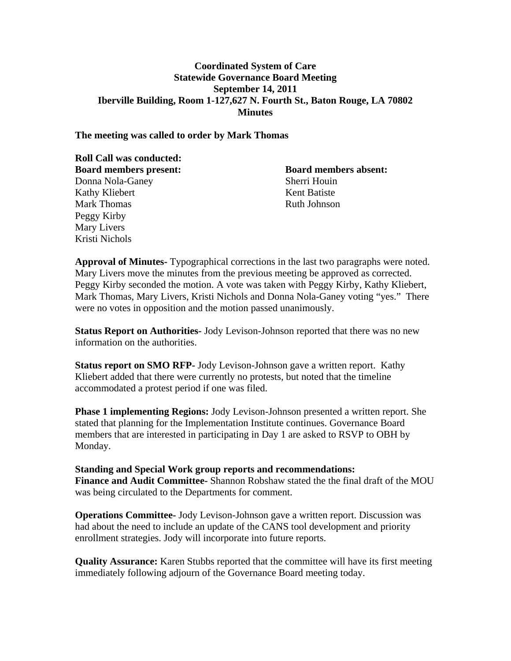## **Coordinated System of Care Statewide Governance Board Meeting September 14, 2011 Iberville Building, Room 1-127,627 N. Fourth St., Baton Rouge, LA 70802 Minutes**

#### **The meeting was called to order by Mark Thomas**

| <b>Roll Call was conducted:</b> |                              |
|---------------------------------|------------------------------|
| <b>Board members present:</b>   | <b>Board members absent:</b> |
| Donna Nola-Ganey                | Sherri Houin                 |
| Kathy Kliebert                  | Kent Batiste                 |
| <b>Mark Thomas</b>              | <b>Ruth Johnson</b>          |
| Peggy Kirby                     |                              |
| Mary Livers                     |                              |
| Kristi Nichols                  |                              |

**Approval of Minutes-** Typographical corrections in the last two paragraphs were noted. Mary Livers move the minutes from the previous meeting be approved as corrected. Peggy Kirby seconded the motion. A vote was taken with Peggy Kirby, Kathy Kliebert, Mark Thomas, Mary Livers, Kristi Nichols and Donna Nola-Ganey voting "yes." There were no votes in opposition and the motion passed unanimously.

**Status Report on Authorities-** Jody Levison-Johnson reported that there was no new information on the authorities.

**Status report on SMO RFP-** Jody Levison-Johnson gave a written report. Kathy Kliebert added that there were currently no protests, but noted that the timeline accommodated a protest period if one was filed.

**Phase 1 implementing Regions:** Jody Levison-Johnson presented a written report. She stated that planning for the Implementation Institute continues. Governance Board members that are interested in participating in Day 1 are asked to RSVP to OBH by Monday.

### **Standing and Special Work group reports and recommendations: Finance and Audit Committee-** Shannon Robshaw stated the the final draft of the MOU was being circulated to the Departments for comment.

**Operations Committee-** Jody Levison-Johnson gave a written report. Discussion was had about the need to include an update of the CANS tool development and priority enrollment strategies. Jody will incorporate into future reports.

**Quality Assurance:** Karen Stubbs reported that the committee will have its first meeting immediately following adjourn of the Governance Board meeting today.